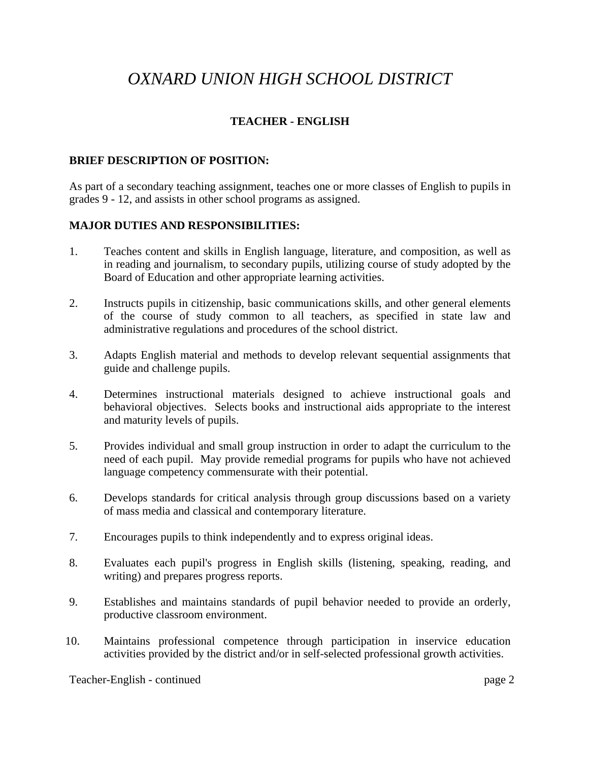# *OXNARD UNION HIGH SCHOOL DISTRICT*

## **TEACHER - ENGLISH**

#### **BRIEF DESCRIPTION OF POSITION:**

As part of a secondary teaching assignment, teaches one or more classes of English to pupils in grades 9 - 12, and assists in other school programs as assigned.

#### **MAJOR DUTIES AND RESPONSIBILITIES:**

- 1. Teaches content and skills in English language, literature, and composition, as well as in reading and journalism, to secondary pupils, utilizing course of study adopted by the Board of Education and other appropriate learning activities.
- 2. Instructs pupils in citizenship, basic communications skills, and other general elements of the course of study common to all teachers, as specified in state law and administrative regulations and procedures of the school district.
- 3. Adapts English material and methods to develop relevant sequential assignments that guide and challenge pupils.
- 4. Determines instructional materials designed to achieve instructional goals and behavioral objectives. Selects books and instructional aids appropriate to the interest and maturity levels of pupils.
- 5. Provides individual and small group instruction in order to adapt the curriculum to the need of each pupil. May provide remedial programs for pupils who have not achieved language competency commensurate with their potential.
- 6. Develops standards for critical analysis through group discussions based on a variety of mass media and classical and contemporary literature.
- 7. Encourages pupils to think independently and to express original ideas.
- 8. Evaluates each pupil's progress in English skills (listening, speaking, reading, and writing) and prepares progress reports.
- 9. Establishes and maintains standards of pupil behavior needed to provide an orderly, productive classroom environment.
- 10. Maintains professional competence through participation in inservice education activities provided by the district and/or in self-selected professional growth activities.

Teacher-English - continued page 2